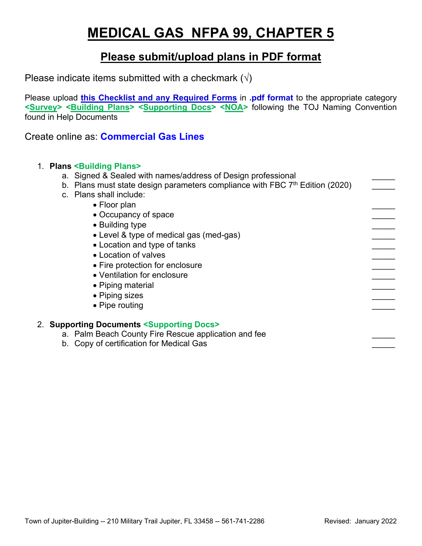# **MEDICAL GAS NFPA 99, CHAPTER 5**

## **Please submit/upload plans in PDF format**

Please indicate items submitted with a checkmark  $(\sqrt{})$ 

Please upload **this Checklist and any Required Forms** in **.pdf format** to the appropriate category **<Survey> <Building Plans> <Supporting Docs> <NOA>** following the TOJ Naming Convention found in Help Documents

Create online as: **Commercial Gas Lines**

### 1. **Plans <Building Plans>**

| a. Signed & Sealed with names/address of Design professional |  |  |  |
|--------------------------------------------------------------|--|--|--|
|                                                              |  |  |  |

- b. Plans must state design parameters compliance with FBC  $7<sup>th</sup>$  Edition (2020)
- c. Plans shall include:
	- Floor plan
	- Occupancy of space \_\_\_\_\_
	- Building type
	- Level & type of medical gas (med-gas)
	- Location and type of tanks
	- Location of valves
	- Fire protection for enclosure
	- Ventilation for enclosure
	- Piping material
	- Piping sizes
	- Pipe routing

### 2. **Supporting Documents <Supporting Docs>**

- a. Palm Beach County Fire Rescue application and fee
- b. Copy of certification for Medical Gas